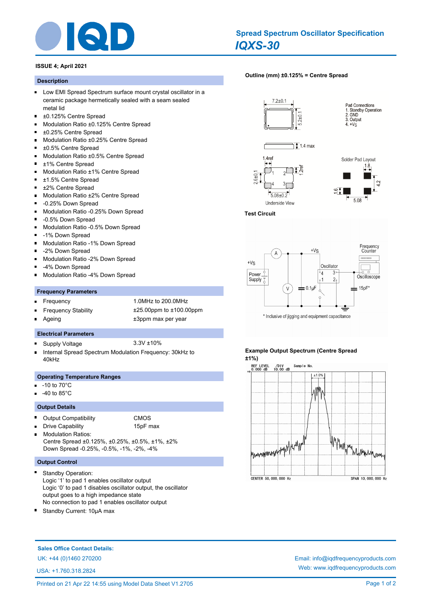

## *IQXS-30* **Spread Spectrum Oscillator Specification**

## **ISSUE 4; April 2021**

### **Description**

- **Low EMI Spread Spectrum surface mount crystal oscillator in a** ceramic package hermetically sealed with a seam sealed metal lid
- $\blacksquare$ ±0.125% Centre Spread
- Modulation Ratio ±0.125% Centre Spread
- ±0.25% Centre Spread
- $\blacksquare$ Modulation Ratio ±0.25% Centre Spread
- ±0.5% Centre Spread  $\blacksquare$
- $\blacksquare$ Modulation Ratio ±0.5% Centre Spread
- $\blacksquare$ ±1% Centre Spread
- $\blacksquare$ Modulation Ratio ±1% Centre Spread
- $\blacksquare$ ±1.5% Centre Spread
- $\blacksquare$ ±2% Centre Spread
- Modulation Ratio ±2% Centre Spread  $\blacksquare$
- $\blacksquare$ -0.25% Down Spread
- $\blacksquare$ Modulation Ratio -0.25% Down Spread
- -0.5% Down Spread
- $\blacksquare$ Modulation Ratio -0.5% Down Spread
- $\blacksquare$ -1% Down Spread
- Modulation Ratio -1% Down Spread  $\blacksquare$
- $\blacksquare$ -2% Down Spread
- $\blacksquare$ Modulation Ratio -2% Down Spread
- -4% Down Spread m.
- $\blacksquare$ Modulation Ratio -4% Down Spread

#### **Frequency Parameters**

- Frequency 1.0MHz to 200.0MHz  $\blacksquare$ 
	- Frequency Stability ±25.00ppm to ±100.00ppm
- 
- Ageing  $\qquad \qquad \qquad \text{+3ppm}$  max per year

#### **Electrical Parameters**

- Supply Voltage 3.3V ±10%
- Internal Spread Spectrum Modulation Frequency: 30kHz to n 40kHz

#### **Operating Temperature Ranges**

-10 to 70°C

r.

 $\blacksquare$ 

-40 to 85°C

#### **Output Details**

 $\blacksquare$ Output Compatibility CMOS

# Drive Capability 15pF max

Modulation Ratios: Centre Spread ±0.125%, ±0.25%, ±0.5%, ±1%, ±2% Down Spread -0.25%, -0.5%, -1%, -2%, -4%

## **Output Control**

- Standby Operation: Logic '1' to pad 1 enables oscillator output Logic '0' to pad 1 disables oscillator output, the oscillator output goes to a high impedance state No connection to pad 1 enables oscillator output
- Standby Current: 10µA max

## **[Outline \(mm\) ±0.125% = Centre Spread](http://www.iqdfrequencyproducts.com/products/search/?type=tcxo-tcvcxo&model=All&product-features=All&package=All&frequency=All&frequency-uom=MHz&frequency-stability=All&temperature-range=All&output=All&voltage=All)**











#### **Test Circuit**



**Example Output Spectrum (Centre Spread ±1%)**



**Sales Office Contact Details:**

USA: +1.760.318.2824

UK: +44 (0)1460 270200 Email: info@iqdfrequencyproducts.com Web: www.iqdfrequencyproducts.com